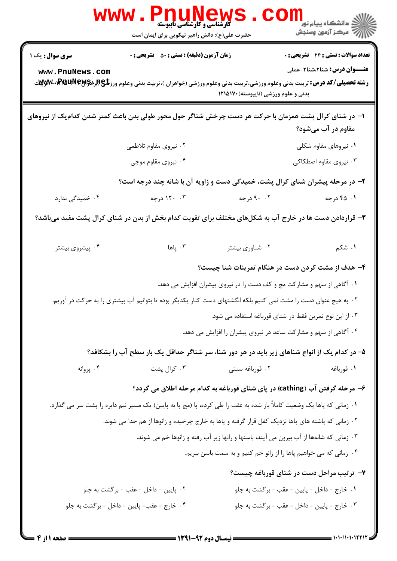|                                                                                                                               | <b>گارشناسی و کارشناسی ناپیوسته</b><br>حضرت علی(ع): دانش راهبر نیکویی برای ایمان است                                                   |                                                                                         | لاد دانشگاه پيام نور دا<br>الا مرکز آزمون وسنجش |  |  |
|-------------------------------------------------------------------------------------------------------------------------------|----------------------------------------------------------------------------------------------------------------------------------------|-----------------------------------------------------------------------------------------|-------------------------------------------------|--|--|
| <b>سری سوال :</b> یک ۱                                                                                                        | <b>زمان آزمون (دقیقه) : تستی : 50 ٪ تشریحی : 0</b>                                                                                     |                                                                                         | <b>تعداد سوالات : تستي : 24 - تشريحي : 0</b>    |  |  |
| www.PnuNews.com                                                                                                               | <b>رشته تحصیلی/کد درس:</b> تربیت بدنی وعلوم ورزشی،تربیت بدنی وعلوم ورزشی (خواهران )،تربیت بدنی وعلوم ورز <b>شگی(لبرPMUP M-PMUP سپر</b> | بدنی و علوم ورزشی (ناپیوسته) ۱۲۱۵۱۷۰                                                    | <b>عنـــوان درس:</b> شنا2،شنا2-عملی             |  |  |
| ۱– در شنای کرال پشت همزمان با حرکت هر دست چرخش شناگر حول محور طولی بدن باعث کمتر شدن کدام یک از نیروهای<br>مقاوم در آب میشود؟ |                                                                                                                                        |                                                                                         |                                                 |  |  |
|                                                                                                                               | ۰۲ نیروی مقاوم تلاطمی                                                                                                                  |                                                                                         | ۰۱ نیروهای مقاوم شکلی                           |  |  |
|                                                                                                                               | ۰۴ نیروی مقاوم موجی                                                                                                                    |                                                                                         | ۰۳ نیروی مقاوم اصطکاکی                          |  |  |
|                                                                                                                               | ۲- در مرحله پیشران شنای کرال پشت، خمیدگی دست و زاویه آن با شانه چند درجه است؟                                                          |                                                                                         |                                                 |  |  |
| ۰۴ خمیدگی ندارد                                                                                                               | ۰۳ درجه                                                                                                                                | ۰۲ درجه                                                                                 | ۰۱ ۴۵ درجه                                      |  |  |
| ۳- قراردادن دست ها در خارج آب به شکلهای مختلف برای تقویت کدام بخش از بدن در شنای کرال پشت مفید میباشد؟                        |                                                                                                                                        |                                                                                         |                                                 |  |  |
| ۰۴ پیشروی بیشتر                                                                                                               | باها $\cdot$ , $\uparrow$                                                                                                              | ۰۲ شناوری بیشتر                                                                         | ۰۱ شکم                                          |  |  |
|                                                                                                                               |                                                                                                                                        | ۴- هدف از مشت کردن دست در هنگام تمرینات شنا چیست؟                                       |                                                 |  |  |
|                                                                                                                               |                                                                                                                                        | ۰۱ آگاهی از سهم و مشارکت مچ و کف دست را در نیروی پیشران افزایش می دهد.                  |                                                 |  |  |
|                                                                                                                               | ۲ . به هیچ عنوان دست را مشت نمی کنیم بلکه انگشتهای دست کنار یکدیگر بوده تا بتوانیم آب بیشتری را به حرکت در آوریم.                      |                                                                                         |                                                 |  |  |
|                                                                                                                               |                                                                                                                                        | ۰۳ از این نوع تمرین فقط در شنای قورباغه استفاده می شود.                                 |                                                 |  |  |
|                                                                                                                               |                                                                                                                                        | ۰۴ آگاهی از سهم و مشارکت ساعد در نیروی پیشران را افزایش می دهد.                         |                                                 |  |  |
|                                                                                                                               | ۵– در کدام یک از انواع شناهای زیر باید در هر دور شنا، سر شناگر حداقل یک بار سطح آب را بشکافد؟                                          |                                                                                         |                                                 |  |  |
| ۰۴ پروانه                                                                                                                     | ۰۳ کرال پشت                                                                                                                            | ۰۲ قورباغه سنتي                                                                         | ۰۱ قورباغه                                      |  |  |
|                                                                                                                               | ۶– مرحله گرفتن آب (cathing) در پای شنای قورباغه به کدام مرحله اطلاق می گردد؟                                                           |                                                                                         |                                                 |  |  |
|                                                                                                                               | ۰۱ زمانی که پاها یک وضعیت کاملاً باز شده به عقب را طی کرده، پا (مچ پا به پایین) یک مسیر نیم دایره را پشت سر می گذارد.                  |                                                                                         |                                                 |  |  |
| ۰۲ زمانی که پاشنه های پاها نزدیک کفل قرار گرفته و پاها به خارج چرخیده و زانوها از هم جدا می شوند.                             |                                                                                                                                        |                                                                                         |                                                 |  |  |
|                                                                                                                               |                                                                                                                                        | ۰۳ زمانی که شانهها از آب بیرون می آیند، باسنها و رانها زیر آب رفته و زانوها خم می شوند. |                                                 |  |  |
|                                                                                                                               |                                                                                                                                        | ۰۴ زمانی که می خواهیم پاها را از زانو خم کنیم و به سمت باسن ببریم.                      |                                                 |  |  |
|                                                                                                                               |                                                                                                                                        |                                                                                         | ۷- ترتیب مراحل دست در شنای قورباغه چیست؟        |  |  |
|                                                                                                                               | ۰۲ پايين - داخل - عقب - برگشت به جلو                                                                                                   |                                                                                         | ۰۱ خارج - داخل - پایین - عقب - برگشت به جلو     |  |  |
|                                                                                                                               | ۰۴ خارج - عقب- پایین - داخل - برگشت به جلو                                                                                             |                                                                                         | ۰۳ خارج - پایین - داخل - عقب - برگشت به جلو     |  |  |
|                                                                                                                               |                                                                                                                                        |                                                                                         |                                                 |  |  |

 $= 1.1.11.1.1171$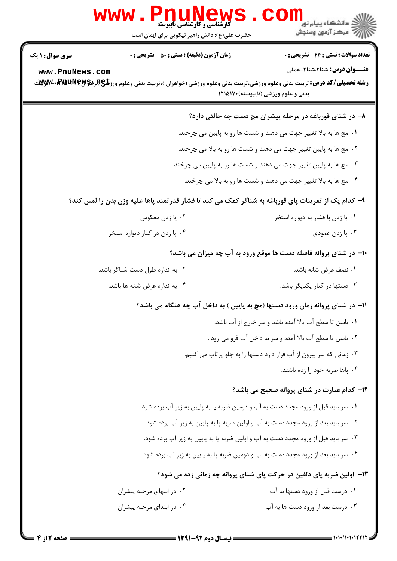|                                                                                                     | <b>WWW.PNUNews</b><br><b>گارشناسی و کارشناسی ناپیوسته</b><br>حضرت علی(ع): دانش راهبر نیکویی برای ایمان است | ڪ دانشڪاه پيا <sub>م</sub> نور<br><mark>√</mark> مرڪز آزمون وسنڊش                                                                                                                                                                     |  |  |  |
|-----------------------------------------------------------------------------------------------------|------------------------------------------------------------------------------------------------------------|---------------------------------------------------------------------------------------------------------------------------------------------------------------------------------------------------------------------------------------|--|--|--|
| <b>سری سوال : ۱ یک</b>                                                                              | <b>زمان آزمون (دقیقه) : تستی : 50 ٪ تشریحی : 0</b>                                                         | <b>تعداد سوالات : تستی : 24 ۔ تشریحی : 0</b>                                                                                                                                                                                          |  |  |  |
| www.PnuNews.com                                                                                     |                                                                                                            | <b>عنـــوان درس:</b> شنا2،شنا2-عملی<br><b>رشته تحصیلی/کد درس:</b> تربیت بدنی وعلوم ورزشی،تربیت بدنی وعلوم ورزشی (خواهران )،تربیت بدنی وعلوم ورز <b>شگی(ببرادPm یا بهبر</b> کلید <b>) بهبر</b><br>بدنی و علوم ورزشی (ناپیوسته) ۱۲۱۵۱۷۰ |  |  |  |
|                                                                                                     |                                                                                                            | ۸– در شنای قورباغه در مرحله پیشران مچ دست چه حالتی دارد؟                                                                                                                                                                              |  |  |  |
|                                                                                                     |                                                                                                            | ۰۱ مچ ها به بالا تغییر جهت می دهند و شست ها رو به پایین می چرخند.                                                                                                                                                                     |  |  |  |
| ۰۲ مچ ها به پایین تغییر جهت می دهند و شست ها رو به بالا می چرخند.                                   |                                                                                                            |                                                                                                                                                                                                                                       |  |  |  |
| ۰۳ مچ ها به پایین ت <b>غ</b> ییر جهت می دهند و شست ها رو به پایین می چرخند.                         |                                                                                                            |                                                                                                                                                                                                                                       |  |  |  |
| ۰۴ مچ ها به بالا تغییر جهت می دهند و شست ها رو به بالا می چرخند.                                    |                                                                                                            |                                                                                                                                                                                                                                       |  |  |  |
| ۹- کدام یک از تمرینات پای قورباغه به شناگر کمک می کند تا فشار قدرتمند پاها علیه وزن بدن را لمس کند؟ |                                                                                                            |                                                                                                                                                                                                                                       |  |  |  |
|                                                                                                     | ۰۲ پا زدن معکوس                                                                                            | ۰۱ پا زدن با فشار به دیواره استخر                                                                                                                                                                                                     |  |  |  |
|                                                                                                     | ۰۴ پا زدن در کنار دیواره استخر                                                                             | ۰۳ پا زدن عمودي                                                                                                                                                                                                                       |  |  |  |
| ∙۱- در شنای پروانه فاصله دست ها موقع ورود به آب چه میزان می باشد؟                                   |                                                                                                            |                                                                                                                                                                                                                                       |  |  |  |
|                                                                                                     | ۰۲ به اندازه طول دست شناگر باشد.                                                                           | ٠١ نصف عرض شانه باشد.                                                                                                                                                                                                                 |  |  |  |
|                                                                                                     | ۰۴ به اندازه عرض شانه ها باشد.                                                                             | ۰۳ دستها در کنار یکدیگر باشد.                                                                                                                                                                                                         |  |  |  |
|                                                                                                     |                                                                                                            | 11- در شنای پروانه زمان ورود دستها (مچ به پایین ) به داخل آب چه هنگام می باشد؟                                                                                                                                                        |  |  |  |
|                                                                                                     |                                                                                                            | ٠١. باسن تا سطح آب بالا آمده باشد و سر خارج از آب باشد.                                                                                                                                                                               |  |  |  |
|                                                                                                     |                                                                                                            | ۰۲ باسن تا سطح آب بالا آمده و سر به داخل آب فرو می رود .                                                                                                                                                                              |  |  |  |
|                                                                                                     |                                                                                                            | ۰۳ زمانی که سر بیرون از آب قرار دارد دستها را به جلو پرتاب می کنیم.                                                                                                                                                                   |  |  |  |
|                                                                                                     |                                                                                                            | ۰۴ پاها ضربه خود را زده باشند.                                                                                                                                                                                                        |  |  |  |
|                                                                                                     |                                                                                                            | <b>۱۲</b> - کدام عبارت در شنای پروانه صحیح می باشد؟                                                                                                                                                                                   |  |  |  |
|                                                                                                     |                                                                                                            | ۰۱ سر باید قبل از ورود مجدد دست به آب و دومین ضربه پا به پایین به زیر آب برده شود.                                                                                                                                                    |  |  |  |
|                                                                                                     | ۰۲ سر باید بعد از ورود مجدد دست به آب و اولین ضربه پا به پایین به زیر آب برده شود.                         |                                                                                                                                                                                                                                       |  |  |  |
| ۰۳ سر باید قبل از ورود مجدد دست به آب و اولین ضربه پا به پایین به زیر آب برده شود.                  |                                                                                                            |                                                                                                                                                                                                                                       |  |  |  |
|                                                                                                     |                                                                                                            | ۰۴ سر باید بعد از ورود مجدد دست به آب و دومین ضربه پا به پایین به زیر آب برده شود.                                                                                                                                                    |  |  |  |
|                                                                                                     |                                                                                                            | ۱۳- اولین ضربه پای دلفین در حرکت پای شنای پروانه چه زمانی زده می شود؟                                                                                                                                                                 |  |  |  |
|                                                                                                     | ۰۲ در انتهای مرحله پیشران                                                                                  | ۰۱ درست قبل از ورود دستها به آب                                                                                                                                                                                                       |  |  |  |
|                                                                                                     | ۰۴ در ابتدای مرحله پیشران                                                                                  | ۰۳ درست بعد از ورود دست ها به آب                                                                                                                                                                                                      |  |  |  |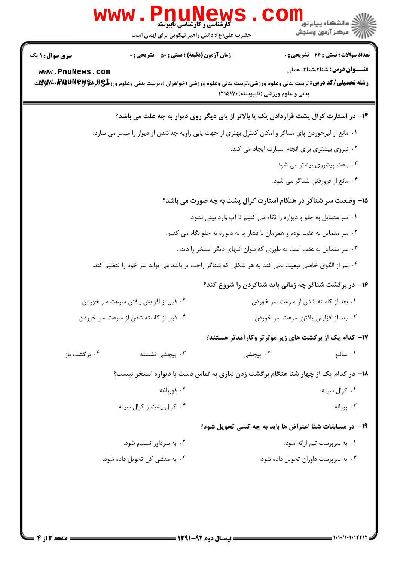|                                                                                                  | <b>www . PNUN</b><br><b>کارشناسی و کارشناسی ناپیوسته</b><br>حضرت علی(ع): دانش راهبر نیکویی برای ایمان است                                                                                     |                                      | : دانشگاه پيام نو <mark>ر</mark><br>رآ مرکز آزمون وسنجش                      |  |  |
|--------------------------------------------------------------------------------------------------|-----------------------------------------------------------------------------------------------------------------------------------------------------------------------------------------------|--------------------------------------|------------------------------------------------------------------------------|--|--|
| <b>سری سوال : ۱ یک</b><br>www.PnuNews.com                                                        | <b>زمان آزمون (دقیقه) : تستی : 50 ٪ تشریحی : 0</b><br><b>رشته تحصیلی/کد درس:</b> تربیت بدنی وعلوم ورزشی،تربیت بدنی وعلوم ورزشی (خواهران )،تربیت بدنی وعلوم ورز <b>شگی(لبرادPMUPM-PM)«Wy</b> y | بدنی و علوم ورزشی (ناپیوسته)۱۲۱۵۱۷۰  | تعداد سوالات : تستى : 24 - تشريحي : 0<br><b>عنـــوان درس:</b> شنا2،شنا2-عملی |  |  |
|                                                                                                  | ۱۴- در استارت کرال پشت قراردادن یک پا بالاتر از پای دیگر روی دیوار به چه علت می باشد؟                                                                                                         |                                      |                                                                              |  |  |
|                                                                                                  | ۰۱ مانع از لیزخوردن پای شناگر و امکان کنترل بهتری از جهت یابی زاویه جداشدن از دیوار را میسر می سازد.                                                                                          |                                      |                                                                              |  |  |
| ۰۲ نیروی بیشتری برای انجام استارت ایجاد می کند.                                                  |                                                                                                                                                                                               |                                      |                                                                              |  |  |
|                                                                                                  | ۰۳ باعث پیشروی بیشتر می شود.                                                                                                                                                                  |                                      |                                                                              |  |  |
|                                                                                                  |                                                                                                                                                                                               |                                      | ۰۴ مانع از فرورفتن شناگر می شود.                                             |  |  |
| ۱۵– وضعیت سر شناگر در هنگام استارت کرال پشت به چه صورت می باشد؟                                  |                                                                                                                                                                                               |                                      |                                                                              |  |  |
| ۰۱ سر متمایل به جلو و دیواره را نگاه می کنیم تا آب وارد بینی نشود.                               |                                                                                                                                                                                               |                                      |                                                                              |  |  |
| ۰۲ سر متمایل به عقب بوده و همزمان با فشار پا به دیواره به جلو نگاه می کنیم.                      |                                                                                                                                                                                               |                                      |                                                                              |  |  |
| ۰۳ سر متمایل به عقب است به طوری که بتوان انتهای دیگر استخر را دید .                              |                                                                                                                                                                                               |                                      |                                                                              |  |  |
| ۰۴ سر از الگوی خاصی تبعیت نمی کند به هر شکلی که شناگر راحت تر باشد می تواند سر خود را تنظیم کند. |                                                                                                                                                                                               |                                      |                                                                              |  |  |
|                                                                                                  |                                                                                                                                                                                               |                                      | ۱۶- در برگشت شناگر چه زمانی باید شناکردن را شروع کند؟                        |  |  |
| ۰۲ قبل از افزایش یافتن سرعت سر خوردن                                                             |                                                                                                                                                                                               | ۰۱ بعد از کاسته شدن از سرعت سر خوردن |                                                                              |  |  |
| ۰۴ قبل از کاسته شدن از سرعت سر خوردن                                                             |                                                                                                                                                                                               | ۰۳ بعد از افزایش یافتن سرعت سر خوردن |                                                                              |  |  |
|                                                                                                  |                                                                                                                                                                                               |                                      | <b>۱۷- کدام یک از برگشت های زیر موثرتر وکارآمدتر هستند؟</b>                  |  |  |
| ۰۴ برگشت باز                                                                                     | ۰۳ پیچشی نشسته                                                                                                                                                                                | ۰۲ پیچشی                             | ۰۱ سالتو                                                                     |  |  |
|                                                                                                  | ۱۸– در کدام یک از چهار شنا هنگام برگشت زدن نیازی به تماس دست با دیواره استخر نیست؟                                                                                                            |                                      |                                                                              |  |  |
|                                                                                                  | ۰۲ قورباغه                                                                                                                                                                                    |                                      | ٠١ كرال سينه                                                                 |  |  |
|                                                                                                  | ۰۴ کرال پشت و کرال سینه                                                                                                                                                                       |                                      | ۰۳ پروانه                                                                    |  |  |
|                                                                                                  |                                                                                                                                                                                               |                                      | <b>۱۹</b> - در مسابقات شنا اعتراض ها باید به چه کسی تحویل شود؟               |  |  |
|                                                                                                  | ۰۲ به سرداور تسلیم شود.                                                                                                                                                                       |                                      | ۰۱ به سرپرست تیم ارائه شود.                                                  |  |  |
|                                                                                                  | ۰۴ به منشی کل تحویل داده شود.                                                                                                                                                                 |                                      | ۰۳ به سرپرست داوران تحویل داده شود.                                          |  |  |
|                                                                                                  |                                                                                                                                                                                               |                                      |                                                                              |  |  |